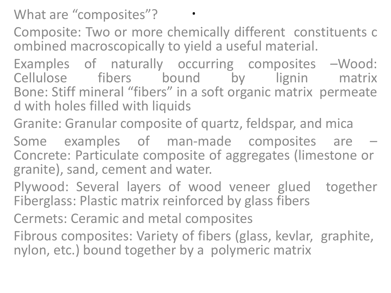What are "composites"?

Composite: Two or more chemically different constituents c ombined macroscopically to yield a useful material.

Examples of naturally occurring composites –Wood: Cellulose fibers bound by lignin matrix Bone: Stiff mineral "fibers" in a soft organic matrix permeate d with holes filled with liquids

Granite: Granular composite of quartz, feldspar, and mica

Some examples of man-made composites are – Concrete: Particulate composite of aggregates (limestone or granite), sand, cement and water.

Plywood: Several layers of wood veneer glued together Fiberglass: Plastic matrix reinforced by glass fibers

Cermets: Ceramic and metal composites

Fibrous composites: Variety of fibers (glass, kevlar, graphite, nylon, etc.) bound together by a polymeric matrix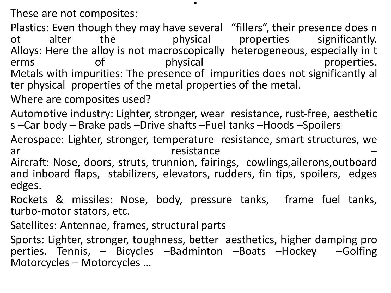These are not composites:

Plastics: Even though they may have several "fillers", their presence does n<br>ot alter the physical properties significantly. ot alter the physical properties significantly. Alloys: Here the alloy is not macroscopically heterogeneous, especially in t<br>erms of physical properties. erms of physical properties. Metals with impurities: The presence of impurities does not significantly al ter physical properties of the metal properties of the metal.

.

Where are composites used?

Automotive industry: Lighter, stronger, wear resistance, rust‐free, aesthetic s –Car body – Brake pads –Drive shafts –Fuel tanks –Hoods –Spoilers

Aerospace: Lighter, stronger, temperature resistance, smart structures, we ar resistance

Aircraft: Nose, doors, struts, trunnion, fairings, cowlings,ailerons,outboard and inboard flaps, stabilizers, elevators, rudders, fin tips, spoilers, edges edges.

Rockets & missiles: Nose, body, pressure tanks, frame fuel tanks, turbo‐motor stators, etc.

Satellites: Antennae, frames, structural parts

Sports: Lighter, stronger, toughness, better aesthetics, higher damping pro perties. Tennis, – Bicycles –Badminton –Boats –Hockey –Golfing Motorcycles – Motorcycles …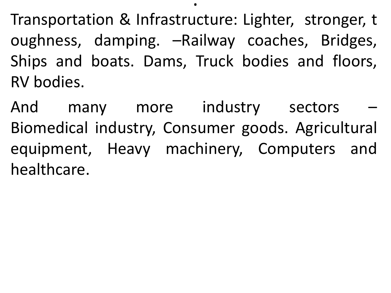Transportation & Infrastructure: Lighter, stronger, t oughness, damping. –Railway coaches, Bridges, Ships and boats. Dams, Truck bodies and floors, RV bodies.

.

And many more industry sectors Biomedical industry, Consumer goods. Agricultural equipment, Heavy machinery, Computers and healthcare.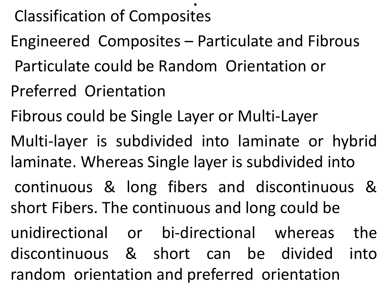# Classification of Composites

Engineered Composites – Particulate and Fibrous

.

- Particulate could be Random Orientation or
- Preferred Orientation
- Fibrous could be Single Layer or Multi‐Layer
- Multi-layer is subdivided into laminate or hybrid laminate. Whereas Single layer is subdivided into
- continuous & long fibers and discontinuous & short Fibers. The continuous and long could be
- unidirectional or bi‐directional whereas the discontinuous & short can be divided into random orientation and preferred orientation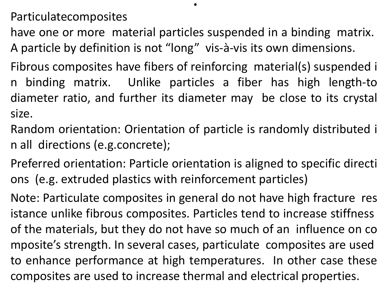Particulatecomposites

have one or more material particles suspended in a binding matrix. A particle by definition is not "long" vis‐à‐vis its own dimensions.

.

Fibrous composites have fibers of reinforcing material(s) suspended i n binding matrix. Unlike particles a fiber has high length‐to diameter ratio, and further its diameter may be close to its crystal size.

Random orientation: Orientation of particle is randomly distributed i n all directions (e.g.concrete);

Preferred orientation: Particle orientation is aligned to specific directi ons (e.g. extruded plastics with reinforcement particles)

Note: Particulate composites in general do not have high fracture res istance unlike fibrous composites. Particles tend to increase stiffness of the materials, but they do not have so much of an influence on co mposite's strength. In several cases, particulate composites are used to enhance performance at high temperatures. In other case these composites are used to increase thermal and electrical properties.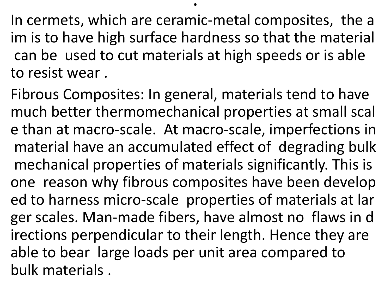In cermets, which are ceramic‐metal composites, the a im is to have high surface hardness so that the material can be used to cut materials at high speeds or is able to resist wear .

.

Fibrous Composites: In general, materials tend to have much better thermomechanical properties at small scal e than at macro‐scale. At macro‐scale, imperfections in material have an accumulated effect of degrading bulk mechanical properties of materials significantly. This is one reason why fibrous composites have been develop ed to harness micro‐scale properties of materials at lar ger scales. Man‐made fibers, have almost no flaws in d irections perpendicular to their length. Hence they are able to bear large loads per unit area compared to bulk materials .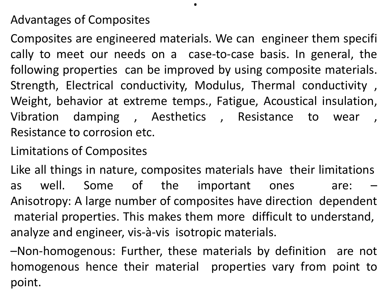#### Advantages of Composites

Composites are engineered materials. We can engineer them specifi cally to meet our needs on a case‐to‐case basis. In general, the following properties can be improved by using composite materials. Strength, Electrical conductivity, Modulus, Thermal conductivity , Weight, behavior at extreme temps., Fatigue, Acoustical insulation, Vibration damping, Aesthetics, Resistance to wear Resistance to corrosion etc.

.

#### Limitations of Composites

Like all things in nature, composites materials have their limitations as well. Some of the important ones are: Anisotropy: A large number of composites have direction dependent material properties. This makes them more difficult to understand, analyze and engineer, vis‐à‐vis isotropic materials.

–Non‐homogenous: Further, these materials by definition are not homogenous hence their material properties vary from point to point.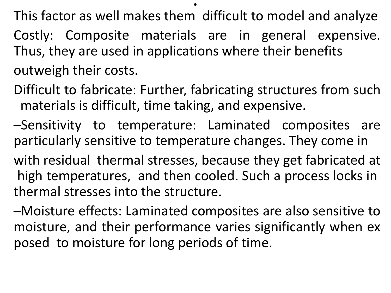This factor as well makes them difficult to model and analyze

.

- Costly: Composite materials are in general expensive. Thus, they are used in applications where their benefits outweigh their costs.
- Difficult to fabricate: Further, fabricating structures from such materials is difficult, time taking, and expensive.
- –Sensitivity to temperature: Laminated composites are particularly sensitive to temperature changes. They come in
- with residual thermal stresses, because they get fabricated at high temperatures, and then cooled. Such a process locks in thermal stresses into the structure.
- –Moisture effects: Laminated composites are also sensitive to moisture, and their performance varies significantly when ex posed to moisture for long periods of time.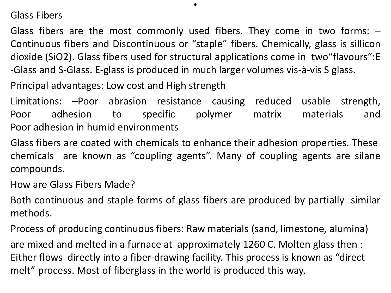Glass Fibers

Glass fibers are the most commonly used fibers. They come in two forms:  $-$ Continuous fibers and Discontinuous or "staple" fibers. Chemically, glass is sillicon dioxide (SiO2). Glass fibers used for structural applications come in two"flavours":E ‐Glass and S‐Glass. E‐glass is produced in much larger volumes vis‐à‐vis S glass.

.

Principal advantages: Low cost and High strength

Limitations: –Poor abrasion resistance causing reduced usable strength, Poor adhesion to specific polymer matrix materials and Poor adhesion in humid environments

Glass fibers are coated with chemicals to enhance their adhesion properties. These chemicals are known as "coupling agents". Many of coupling agents are silane compounds.

How are Glass Fibers Made?

Both continuous and staple forms of glass fibers are produced by partially similar methods.

Process of producing continuous fibers: Raw materials (sand, limestone, alumina) are mixed and melted in a furnace at approximately 1260 C. Molten glass then : Either flows directly into a fiber‐drawing facility. This process is known as "direct melt" process. Most of fiberglass in the world is produced this way.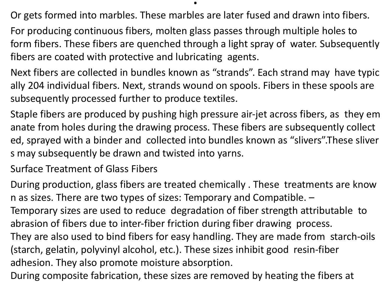Or gets formed into marbles. These marbles are later fused and drawn into fibers.

.

For producing continuous fibers, molten glass passes through multiple holes to form fibers. These fibers are quenched through a light spray of water. Subsequently fibers are coated with protective and lubricating agents.

Next fibers are collected in bundles known as "strands". Each strand may have typic ally 204 individual fibers. Next, strands wound on spools. Fibers in these spools are subsequently processed further to produce textiles.

Staple fibers are produced by pushing high pressure air‐jet across fibers, as they em anate from holes during the drawing process. These fibers are subsequently collect ed, sprayed with a binder and collected into bundles known as "slivers".These sliver s may subsequently be drawn and twisted into yarns.

Surface Treatment of Glass Fibers

During production, glass fibers are treated chemically . These treatments are know n as sizes. There are two types of sizes: Temporary and Compatible. –

Temporary sizes are used to reduce degradation of fiber strength attributable to abrasion of fibers due to inter‐fiber friction during fiber drawing process.

They are also used to bind fibers for easy handling. They are made from starch‐oils (starch, gelatin, polyvinyl alcohol, etc.). These sizes inhibit good resin‐fiber adhesion. They also promote moisture absorption.

During composite fabrication, these sizes are removed by heating the fibers at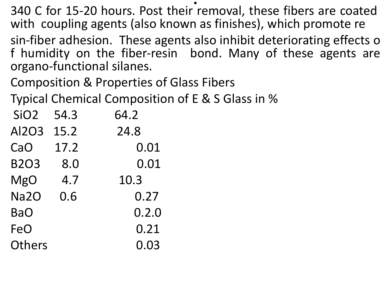. 340 C for 15‐20 hours. Post their removal, these fibers are coated with coupling agents (also known as finishes), which promote re sin‐fiber adhesion. These agents also inhibit deteriorating effects o

f humidity on the fiber‐resin bond. Many of these agents are organo‐functional silanes.

Composition & Properties of Glass Fibers

Typical Chemical Composition of E & S Glass in %

| SiO <sub>2</sub> | 54.3    | 64.2  |
|------------------|---------|-------|
| <b>Al2O3</b>     | 15.2    | 24.8  |
| CaO              | 17.2    | 0.01  |
| <b>B2O3</b>      | $8.0\,$ | 0.01  |
| <b>MgO</b>       | 4.7     | 10.3  |
| <b>Na2O</b>      | 0.6     | 0.27  |
| <b>BaO</b>       |         | 0.2.0 |
| FeO              |         | 0.21  |
| Others           |         | 0.03  |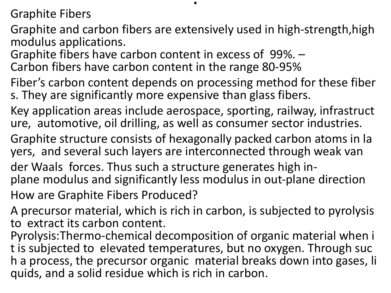Graphite Fibers

Graphite and carbon fibers are extensively used in high‐strength,high modulus applications.

.

Graphite fibers have carbon content in excess of 99%. – Carbon fibers have carbon content in the range 80‐95%

Fiber's carbon content depends on processing method for these fiber s. They are significantly more expensive than glass fibers.

Key application areas include aerospace, sporting, railway, infrastruct ure, automotive, oil drilling, as well as consumer sector industries.

Graphite structure consists of hexagonally packed carbon atoms in la yers, and several such layers are interconnected through weak van

der Waals forces. Thus such a structure generates high inplane modulus and significantly less modulus in out‐plane direction How are Graphite Fibers Produced?

A precursor material, which is rich in carbon, is subjected to pyrolysis to extract its carbon content.

Pyrolysis:Thermo‐chemical decomposition of organic material when i t is subjected to elevated temperatures, but no oxygen. Through suc h a process, the precursor organic material breaks down into gases, li quids, and a solid residue which is rich in carbon.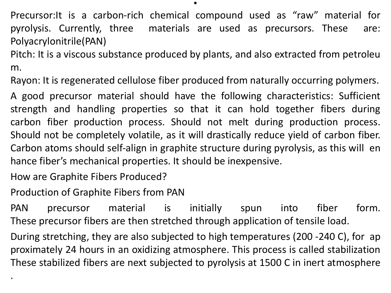Precursor:It is a carbon‐rich chemical compound used as "raw" material for pyrolysis. Currently, three materials are used as precursors. These are: Polyacrylonitrile(PAN)

Pitch: It is a viscous substance produced by plants, and also extracted from petroleu m.

Rayon: It is regenerated cellulose fiber produced from naturally occurring polymers.

A good precursor material should have the following characteristics: Sufficient strength and handling properties so that it can hold together fibers during carbon fiber production process. Should not melt during production process. Should not be completely volatile, as it will drastically reduce yield of carbon fiber. Carbon atoms should self‐align in graphite structure during pyrolysis, as this will en hance fiber's mechanical properties. It should be inexpensive.

How are Graphite Fibers Produced?

.

Production of Graphite Fibers from PAN

PAN precursor material is initially spun into fiber form. These precursor fibers are then stretched through application of tensile load.

During stretching, they are also subjected to high temperatures (200 ‐240 C), for ap proximately 24 hours in an oxidizing atmosphere. This process is called stabilization These stabilized fibers are next subjected to pyrolysis at 1500 C in inert atmosphere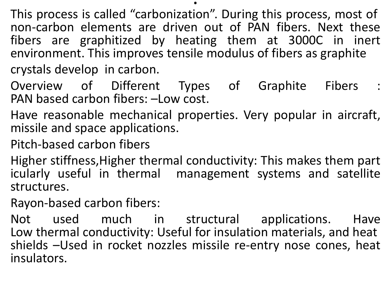This process is called "carbonization". During this process, most of non‐carbon elements are driven out of PAN fibers. Next these fibers are graphitized by heating them at 3000C in inert environment. This improves tensile modulus of fibers as graphite crystals develop in carbon.

.

- Overview of Different Types of Graphite Fibers : PAN based carbon fibers: –Low cost.
- Have reasonable mechanical properties. Very popular in aircraft, missile and space applications.
- Pitch‐based carbon fibers
- Higher stiffness,Higher thermal conductivity: This makes them part icularly useful in thermal management systems and satellite structures.
- Rayon‐based carbon fibers:

Not used much in structural applications. Have Low thermal conductivity: Useful for insulation materials, and heat shields –Used in rocket nozzles missile re-entry nose cones, heat insulators.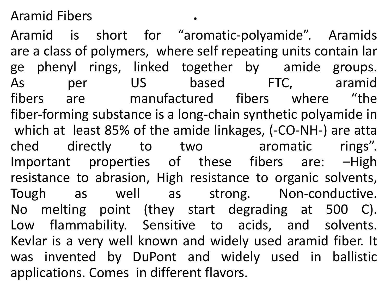Aramid Fibers .

Aramid is short for "aromatic‐polyamide". Aramids are a class of polymers, where self repeating units contain lar ge phenyl rings, linked together by amide groups. As per US based FTC, aramid fibers are manufactured fibers where "the fiber-forming substance is a long-chain synthetic polyamide in which at least 85% of the amide linkages, (‐CO‐NH‐) are atta ched directly to two aromatic rings". Important properties of these fibers are: –High resistance to abrasion, High resistance to organic solvents, Tough as well as strong. Non-conductive. No melting point (they start degrading at 500 C). Low flammability. Sensitive to acids, and solvents. Kevlar is a very well known and widely used aramid fiber. It was invented by DuPont and widely used in ballistic applications. Comes in different flavors.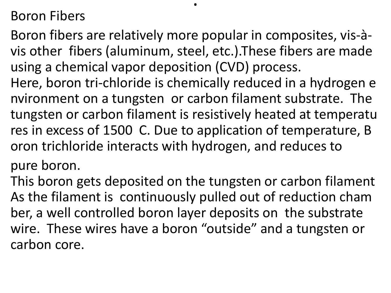## Boron Fibers

Boron fibers are relatively more popular in composites, vis‐à‐ vis other fibers (aluminum, steel, etc.).These fibers are made using a chemical vapor deposition (CVD) process.

.

Here, boron tri-chloride is chemically reduced in a hydrogen e nvironment on a tungsten or carbon filament substrate. The tungsten or carbon filament is resistively heated at temperatu res in excess of 1500 C. Due to application of temperature, B oron trichloride interacts with hydrogen, and reduces to

pure boron.

This boron gets deposited on the tungsten or carbon filament As the filament is continuously pulled out of reduction cham ber, a well controlled boron layer deposits on the substrate wire. These wires have a boron "outside" and a tungsten or carbon core.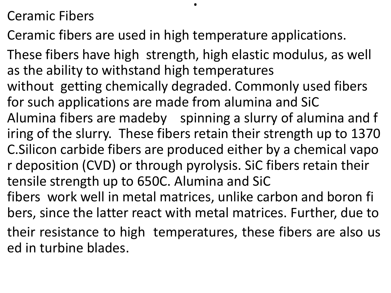## Ceramic Fibers

Ceramic fibers are used in high temperature applications.

.

These fibers have high strength, high elastic modulus, as well as the ability to withstand high temperatures without getting chemically degraded. Commonly used fibers for such applications are made from alumina and SiC Alumina fibers are madeby spinning a slurry of alumina and f iring of the slurry. These fibers retain their strength up to 1370 C.Silicon carbide fibers are produced either by a chemical vapo r deposition (CVD) or through pyrolysis. SiC fibers retain their tensile strength up to 650C. Alumina and SiC fibers work well in metal matrices, unlike carbon and boron fi bers, since the latter react with metal matrices. Further, due to their resistance to high temperatures, these fibers are also us ed in turbine blades.